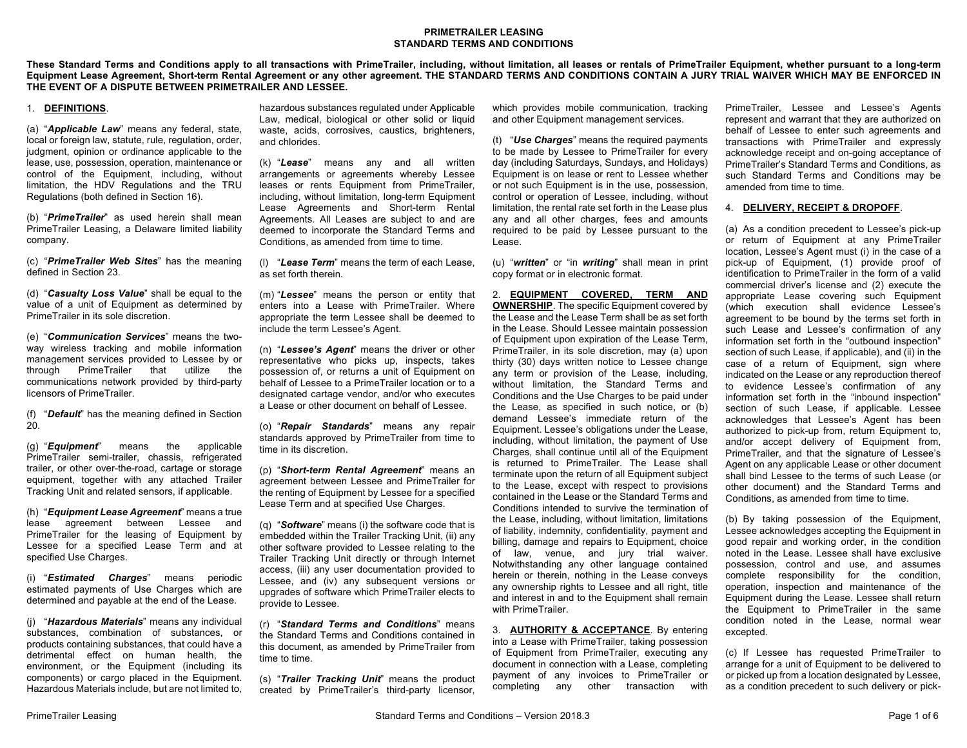# **PRIMETRAILER LEASING STANDARD TERMS AND CONDITIONS**

**These Standard Terms and Conditions apply to all transactions with PrimeTrailer, including, without limitation, all leases or rentals of PrimeTrailer Equipment, whether pursuant to a long-term Equipment Lease Agreement, Short-term Rental Agreement or any other agreement. THE STANDARD TERMS AND CONDITIONS CONTAIN A JURY TRIAL WAIVER WHICH MAY BE ENFORCED IN THE EVENT OF A DISPUTE BETWEEN PRIMETRAILER AND LESSEE.**

# 1. **DEFINITIONS**.

(a) "*Applicable Law*" means any federal, state, local or foreign law, statute, rule, regulation, order, judgment, opinion or ordinance applicable to the lease, use, possession, operation, maintenance or control of the Equipment, including, without limitation, the HDV Regulations and the TRU Regulations (both defined in Section 16).

(b) "*PrimeTrailer*" as used herein shall mean PrimeTrailer Leasing, a Delaware limited liability company.

(c) "*PrimeTrailer Web Sites*" has the meaning defined in Section 23.

(d) "*Casualty Loss Value*" shall be equal to the value of a unit of Equipment as determined by PrimeTrailer in its sole discretion.

(e) "*Communication Services*" means the twoway wireless tracking and mobile information management services provided to Lessee by or through PrimeTrailer that utilize the communications network provided by third-party licensors of PrimeTrailer.

(f) "*Default*" has the meaning defined in Section 20.

(g) "*Equipment*" means the applicable PrimeTrailer semi-trailer, chassis, refrigerated trailer, or other over-the-road, cartage or storage equipment, together with any attached Trailer Tracking Unit and related sensors, if applicable.

(h) "*Equipment Lease Agreement*" means a true lease agreement between Lessee and PrimeTrailer for the leasing of Equipment by Lessee for a specified Lease Term and at specified Use Charges.

(i) "*Estimated Charges*" means periodic estimated payments of Use Charges which are determined and payable at the end of the Lease.

(j) "*Hazardous Materials*" means any individual substances, combination of substances, or products containing substances, that could have a detrimental effect on human health, the environment, or the Equipment (including its components) or cargo placed in the Equipment. Hazardous Materials include, but are not limited to, hazardous substances regulated under Applicable Law, medical, biological or other solid or liquid waste, acids, corrosives, caustics, brighteners, and chlorides.

(k) "*Lease*" means any and all written arrangements or agreements whereby Lessee leases or rents Equipment from PrimeTrailer, including, without limitation, long-term Equipment Lease Agreements and Short-term Rental Agreements. All Leases are subject to and are deemed to incorporate the Standard Terms and Conditions, as amended from time to time.

(l) "*Lease Term*" means the term of each Lease, as set forth therein.

(m) "*Lessee*" means the person or entity that enters into a Lease with PrimeTrailer. Where appropriate the term Lessee shall be deemed to include the term Lessee's Agent.

(n) "*Lessee's Agent*" means the driver or other representative who picks up, inspects, takes possession of, or returns a unit of Equipment on behalf of Lessee to a PrimeTrailer location or to a designated cartage vendor, and/or who executes a Lease or other document on behalf of Lessee.

(o) "*Repair Standards*" means any repair standards approved by PrimeTrailer from time to time in its discretion.

(p) "*Short-term Rental Agreement*" means an agreement between Lessee and PrimeTrailer for the renting of Equipment by Lessee for a specified Lease Term and at specified Use Charges.

(q) "*Software*" means (i) the software code that is embedded within the Trailer Tracking Unit, (ii) any other software provided to Lessee relating to the Trailer Tracking Unit directly or through Internet access, (iii) any user documentation provided to Lessee, and (iv) any subsequent versions or upgrades of software which PrimeTrailer elects to provide to Lessee.

(r) "*Standard Terms and Conditions*" means the Standard Terms and Conditions contained in this document, as amended by PrimeTrailer from time to time.

(s) "*Trailer Tracking Unit*" means the product created by PrimeTrailer's third-party licensor, which provides mobile communication, tracking and other Equipment management services.

(t) "*Use Charges*" means the required payments to be made by Lessee to PrimeTrailer for every day (including Saturdays, Sundays, and Holidays) Equipment is on lease or rent to Lessee whether or not such Equipment is in the use, possession, control or operation of Lessee, including, without limitation, the rental rate set forth in the Lease plus any and all other charges, fees and amounts required to be paid by Lessee pursuant to the Lease.

(u) "*written*" or "in *writing*" shall mean in print copy format or in electronic format.

2. **EQUIPMENT COVERED, TERM AND OWNERSHIP**. The specific Equipment covered by the Lease and the Lease Term shall be as set forth in the Lease. Should Lessee maintain possession of Equipment upon expiration of the Lease Term, PrimeTrailer, in its sole discretion, may (a) upon thirty (30) days written notice to Lessee change any term or provision of the Lease, including, without limitation, the Standard Terms and Conditions and the Use Charges to be paid under the Lease, as specified in such notice, or (b) demand Lessee's immediate return of the Equipment. Lessee's obligations under the Lease, including, without limitation, the payment of Use Charges, shall continue until all of the Equipment is returned to PrimeTrailer. The Lease shall terminate upon the return of all Equipment subject to the Lease, except with respect to provisions contained in the Lease or the Standard Terms and Conditions intended to survive the termination of the Lease, including, without limitation, limitations of liability, indemnity, confidentiality, payment and billing, damage and repairs to Equipment, choice of law, venue, and jury trial waiver. Notwithstanding any other language contained herein or therein, nothing in the Lease conveys any ownership rights to Lessee and all right, title and interest in and to the Equipment shall remain with PrimeTrailer.

3. **AUTHORITY & ACCEPTANCE**. By entering into a Lease with PrimeTrailer, taking possession of Equipment from PrimeTrailer, executing any document in connection with a Lease, completing payment of any invoices to PrimeTrailer or completing any other transaction with PrimeTrailer, Lessee and Lessee's Agents represent and warrant that they are authorized on behalf of Lessee to enter such agreements and transactions with PrimeTrailer and expressly acknowledge receipt and on-going acceptance of PrimeTrailer's Standard Terms and Conditions, as such Standard Terms and Conditions may be amended from time to time.

#### 4. **DELIVERY, RECEIPT & DROPOFF**.

(a) As a condition precedent to Lessee's pick-up or return of Equipment at any PrimeTrailer location, Lessee's Agent must (i) in the case of a pick-up of Equipment, (1) provide proof of identification to PrimeTrailer in the form of a valid commercial driver's license and (2) execute the appropriate Lease covering such Equipment (which execution shall evidence Lessee's agreement to be bound by the terms set forth in such Lease and Lessee's confirmation of any information set forth in the "outbound inspection" section of such Lease, if applicable), and (ii) in the case of a return of Equipment, sign where indicated on the Lease or any reproduction thereof to evidence Lessee's confirmation of any information set forth in the "inbound inspection" section of such Lease, if applicable. Lessee acknowledges that Lessee's Agent has been authorized to pick-up from, return Equipment to, and/or accept delivery of Equipment from, PrimeTrailer, and that the signature of Lessee's Agent on any applicable Lease or other document shall bind Lessee to the terms of such Lease (or other document) and the Standard Terms and Conditions, as amended from time to time.

(b) By taking possession of the Equipment, Lessee acknowledges accepting the Equipment in good repair and working order, in the condition noted in the Lease. Lessee shall have exclusive possession, control and use, and assumes complete responsibility for the condition, operation, inspection and maintenance of the Equipment during the Lease. Lessee shall return the Equipment to PrimeTrailer in the same condition noted in the Lease, normal wear excepted.

(c) If Lessee has requested PrimeTrailer to arrange for a unit of Equipment to be delivered to or picked up from a location designated by Lessee, as a condition precedent to such delivery or pick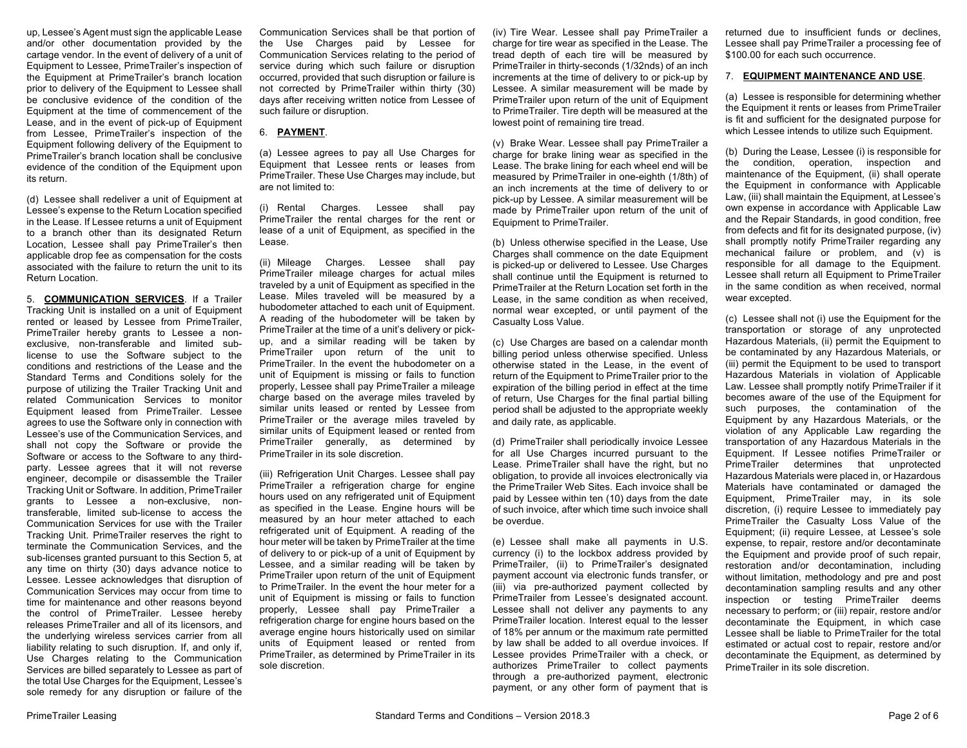up, Lessee's Agent must sign the applicable Lease and/or other documentation provided by the cartage vendor. In the event of delivery of a unit of Equipment to Lessee, PrimeTrailer's inspection of the Equipment at PrimeTrailer's branch location prior to delivery of the Equipment to Lessee shall be conclusive evidence of the condition of the Equipment at the time of commencement of the Lease, and in the event of pick-up of Equipment from Lessee, PrimeTrailer's inspection of the Equipment following delivery of the Equipment to PrimeTrailer's branch location shall be conclusive evidence of the condition of the Equipment upon its return.

(d) Lessee shall redeliver a unit of Equipment at Lessee's expense to the Return Location specified in the Lease. If Lessee returns a unit of Equipment to a branch other than its designated Return Location, Lessee shall pay PrimeTrailer's then applicable drop fee as compensation for the costs associated with the failure to return the unit to its Return Location.

5. **COMMUNICATION SERVICES**. If a Trailer Tracking Unit is installed on a unit of Equipment rented or leased by Lessee from PrimeTrailer, PrimeTrailer hereby grants to Lessee a nonexclusive, non-transferable and limited sublicense to use the Software subject to the conditions and restrictions of the Lease and the Standard Terms and Conditions solely for the purpose of utilizing the Trailer Tracking Unit and related Communication Services to monitor Equipment leased from PrimeTrailer. Lessee agrees to use the Software only in connection with Lessee's use of the Communication Services, and shall not copy the Software or provide the Software or access to the Software to any thirdparty. Lessee agrees that it will not reverse engineer, decompile or disassemble the Trailer Tracking Unit or Software. In addition, PrimeTrailer grants to Lessee a non-exclusive, nontransferable, limited sub-license to access the Communication Services for use with the Trailer Tracking Unit. PrimeTrailer reserves the right to terminate the Communication Services, and the sub-licenses granted pursuant to this Section 5, at any time on thirty (30) days advance notice to Lessee. Lessee acknowledges that disruption of Communication Services may occur from time to time for maintenance and other reasons beyond the control of PrimeTrailer. Lessee hereby releases PrimeTrailer and all of its licensors, and the underlying wireless services carrier from all liability relating to such disruption. If, and only if, Use Charges relating to the Communication Services are billed separately to Lessee as part of the total Use Charges for the Equipment, Lessee's sole remedy for any disruption or failure of the

Communication Services shall be that portion of the Use Charges paid by Lessee for Communication Services relating to the period of service during which such failure or disruption occurred, provided that such disruption or failure is not corrected by PrimeTrailer within thirty (30) days after receiving written notice from Lessee of such failure or disruption.

# 6. **PAYMENT**.

(a) Lessee agrees to pay all Use Charges for Equipment that Lessee rents or leases from PrimeTrailer. These Use Charges may include, but are not limited to:

(i) Rental Charges. Lessee shall pay PrimeTrailer the rental charges for the rent or lease of a unit of Equipment, as specified in the Lease.

(ii) Mileage Charges. Lessee shall pay PrimeTrailer mileage charges for actual miles traveled by a unit of Equipment as specified in the Lease. Miles traveled will be measured by a hubodometer attached to each unit of Equipment. A reading of the hubodometer will be taken by PrimeTrailer at the time of a unit's delivery or pickup, and a similar reading will be taken by PrimeTrailer upon return of the unit to PrimeTrailer. In the event the hubodometer on a unit of Equipment is missing or fails to function properly, Lessee shall pay PrimeTrailer a mileage charge based on the average miles traveled by similar units leased or rented by Lessee from PrimeTrailer or the average miles traveled by similar units of Equipment leased or rented from PrimeTrailer generally, as determined by PrimeTrailer in its sole discretion.

(iii) Refrigeration Unit Charges. Lessee shall pay PrimeTrailer a refrigeration charge for engine hours used on any refrigerated unit of Equipment as specified in the Lease. Engine hours will be measured by an hour meter attached to each refrigerated unit of Equipment. A reading of the hour meter will be taken by PrimeTrailer at the time of delivery to or pick-up of a unit of Equipment by Lessee, and a similar reading will be taken by PrimeTrailer upon return of the unit of Equipment to PrimeTrailer. In the event the hour meter for a unit of Equipment is missing or fails to function properly, Lessee shall pay PrimeTrailer a refrigeration charge for engine hours based on the average engine hours historically used on similar units of Equipment leased or rented from PrimeTrailer, as determined by PrimeTrailer in its sole discretion.

(iv) Tire Wear. Lessee shall pay PrimeTrailer a charge for tire wear as specified in the Lease. The tread depth of each tire will be measured by PrimeTrailer in thirty-seconds (1/32nds) of an inch increments at the time of delivery to or pick-up by Lessee. A similar measurement will be made by PrimeTrailer upon return of the unit of Equipment to PrimeTrailer. Tire depth will be measured at the lowest point of remaining tire tread.

(v) Brake Wear. Lessee shall pay PrimeTrailer a charge for brake lining wear as specified in the Lease. The brake lining for each wheel end will be measured by PrimeTrailer in one-eighth (1/8th) of an inch increments at the time of delivery to or pick-up by Lessee. A similar measurement will be made by PrimeTrailer upon return of the unit of Equipment to PrimeTrailer.

(b) Unless otherwise specified in the Lease, Use Charges shall commence on the date Equipment is picked-up or delivered to Lessee. Use Charges shall continue until the Equipment is returned to PrimeTrailer at the Return Location set forth in the Lease, in the same condition as when received, normal wear excepted, or until payment of the Casualty Loss Value.

(c) Use Charges are based on a calendar month billing period unless otherwise specified. Unless otherwise stated in the Lease, in the event of return of the Equipment to PrimeTrailer prior to the expiration of the billing period in effect at the time of return, Use Charges for the final partial billing period shall be adjusted to the appropriate weekly and daily rate, as applicable.

(d) PrimeTrailer shall periodically invoice Lessee for all Use Charges incurred pursuant to the Lease. PrimeTrailer shall have the right, but no obligation, to provide all invoices electronically via the PrimeTrailer Web Sites. Each invoice shall be paid by Lessee within ten (10) days from the date of such invoice, after which time such invoice shall be overdue.

(e) Lessee shall make all payments in U.S. currency (i) to the lockbox address provided by PrimeTrailer, (ii) to PrimeTrailer's designated payment account via electronic funds transfer, or (iii) via pre-authorized payment collected by PrimeTrailer from Lessee's designated account. Lessee shall not deliver any payments to any PrimeTrailer location. Interest equal to the lesser of 18% per annum or the maximum rate permitted by law shall be added to all overdue invoices. If Lessee provides PrimeTrailer with a check, or authorizes PrimeTrailer to collect payments through a pre-authorized payment, electronic payment, or any other form of payment that is

returned due to insufficient funds or declines, Lessee shall pay PrimeTrailer a processing fee of \$100.00 for each such occurrence.

#### 7. **EQUIPMENT MAINTENANCE AND USE**.

(a) Lessee is responsible for determining whether the Equipment it rents or leases from PrimeTrailer is fit and sufficient for the designated purpose for which Lessee intends to utilize such Equipment.

(b) During the Lease, Lessee (i) is responsible for the condition, operation, inspection and maintenance of the Equipment, (ii) shall operate the Equipment in conformance with Applicable Law, (iii) shall maintain the Equipment, at Lessee's own expense in accordance with Applicable Law and the Repair Standards, in good condition, free from defects and fit for its designated purpose, (iv) shall promptly notify PrimeTrailer regarding any mechanical failure or problem, and (v) is responsible for all damage to the Equipment. Lessee shall return all Equipment to PrimeTrailer in the same condition as when received, normal wear excepted.

(c) Lessee shall not (i) use the Equipment for the transportation or storage of any unprotected Hazardous Materials, (ii) permit the Equipment to be contaminated by any Hazardous Materials, or (iii) permit the Equipment to be used to transport Hazardous Materials in violation of Applicable Law. Lessee shall promptly notify PrimeTrailer if it becomes aware of the use of the Equipment for such purposes, the contamination of the Equipment by any Hazardous Materials, or the violation of any Applicable Law regarding the transportation of any Hazardous Materials in the Equipment. If Lessee notifies PrimeTrailer or PrimeTrailer determines that unprotected Hazardous Materials were placed in, or Hazardous Materials have contaminated or damaged the Equipment, PrimeTrailer may, in its sole discretion, (i) require Lessee to immediately pay PrimeTrailer the Casualty Loss Value of the Equipment; (ii) require Lessee, at Lessee's sole expense, to repair, restore and/or decontaminate the Equipment and provide proof of such repair, restoration and/or decontamination, including without limitation, methodology and pre and post decontamination sampling results and any other inspection or testing PrimeTrailer deems necessary to perform; or (iii) repair, restore and/or decontaminate the Equipment, in which case Lessee shall be liable to PrimeTrailer for the total estimated or actual cost to repair, restore and/or decontaminate the Equipment, as determined by PrimeTrailer in its sole discretion.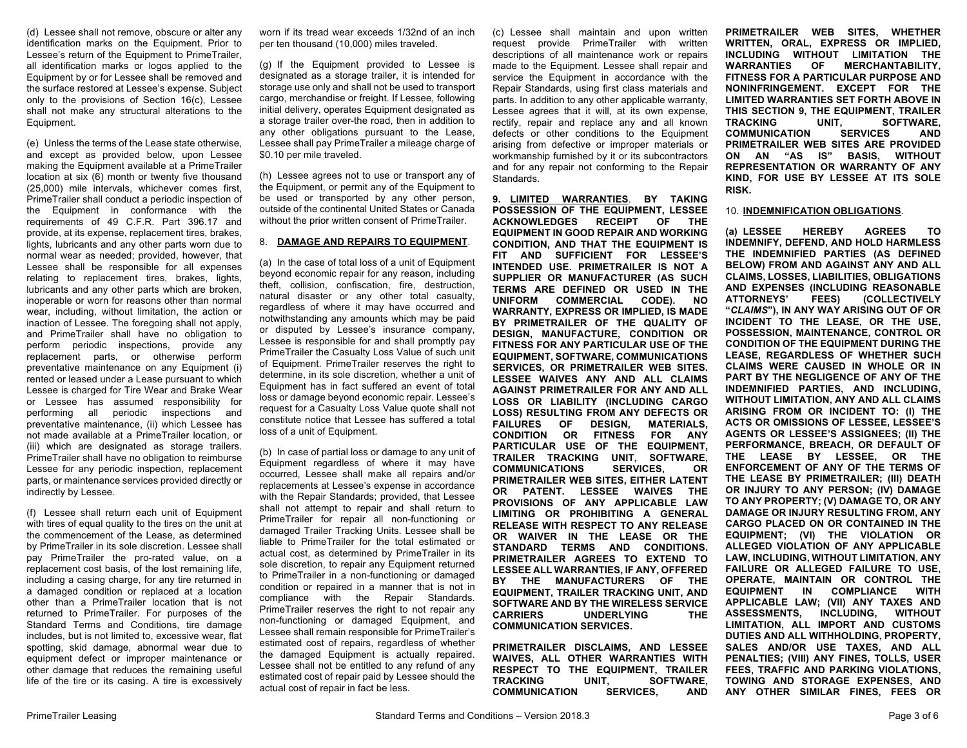(d) Lessee shall not remove, obscure or alter any identification marks on the Equipment. Prior to Lessee's return of the Equipment to PrimeTrailer, all identification marks or logos applied to the Equipment by or for Lessee shall be removed and the surface restored at Lessee's expense. Subject only to the provisions of Section 16(c), Lessee shall not make any structural alterations to the Equipment.

(e) Unless the terms of the Lease state otherwise, and except as provided below, upon Lessee making the Equipment available at a PrimeTrailer location at six (6) month or twenty five thousand (25,000) mile intervals, whichever comes first, PrimeTrailer shall conduct a periodic inspection of the Equipment in conformance with the requirements of 49 C.F.R. Part 396.17 and provide, at its expense, replacement tires, brakes, lights, lubricants and any other parts worn due to normal wear as needed; provided, however, that Lessee shall be responsible for all expenses relating to replacement tires, brakes, lights, lubricants and any other parts which are broken, inoperable or worn for reasons other than normal wear, including, without limitation, the action or inaction of Lessee. The foregoing shall not apply, and PrimeTrailer shall have no obligation to perform periodic inspections, provide any replacement parts, or otherwise perform preventative maintenance on any Equipment (i) rented or leased under a Lease pursuant to which Lessee is charged for Tire Wear and Brake Wear or Lessee has assumed responsibility for performing all periodic inspections and preventative maintenance, (ii) which Lessee has not made available at a PrimeTrailer location, or (iii) which are designated as storage trailers. PrimeTrailer shall have no obligation to reimburse Lessee for any periodic inspection, replacement parts, or maintenance services provided directly or indirectly by Lessee.

(f) Lessee shall return each unit of Equipment with tires of equal quality to the tires on the unit at the commencement of the Lease, as determined by PrimeTrailer in its sole discretion. Lessee shall pay PrimeTrailer the pro-rated value, on a replacement cost basis, of the lost remaining life, including a casing charge, for any tire returned in a damaged condition or replaced at a location other than a PrimeTrailer location that is not returned to PrimeTrailer. For purposes of the Standard Terms and Conditions, tire damage includes, but is not limited to, excessive wear, flat spotting, skid damage, abnormal wear due to equipment defect or improper maintenance or other damage that reduces the remaining useful life of the tire or its casing. A tire is excessively

worn if its tread wear exceeds 1/32nd of an inch per ten thousand (10,000) miles traveled.

(g) If the Equipment provided to Lessee is designated as a storage trailer, it is intended for storage use only and shall not be used to transport cargo, merchandise or freight. If Lessee, following initial delivery, operates Equipment designated as a storage trailer over-the road, then in addition to any other obligations pursuant to the Lease, Lessee shall pay PrimeTrailer a mileage charge of \$0.10 per mile traveled.

(h) Lessee agrees not to use or transport any of the Equipment, or permit any of the Equipment to be used or transported by any other person, outside of the continental United States or Canada without the prior written consent of PrimeTrailer.

#### 8. **DAMAGE AND REPAIRS TO EQUIPMENT**.

(a) In the case of total loss of a unit of Equipment beyond economic repair for any reason, including theft, collision, confiscation, fire, destruction, natural disaster or any other total casualty, regardless of where it may have occurred and notwithstanding any amounts which may be paid or disputed by Lessee's insurance company, Lessee is responsible for and shall promptly pay PrimeTrailer the Casualty Loss Value of such unit of Equipment. PrimeTrailer reserves the right to determine, in its sole discretion, whether a unit of Equipment has in fact suffered an event of total loss or damage beyond economic repair. Lessee's request for a Casualty Loss Value quote shall not constitute notice that Lessee has suffered a total loss of a unit of Equipment.

(b) In case of partial loss or damage to any unit of Equipment regardless of where it may have occurred, Lessee shall make all repairs and/or replacements at Lessee's expense in accordance with the Repair Standards; provided, that Lessee shall not attempt to repair and shall return to PrimeTrailer for repair all non-functioning or damaged Trailer Tracking Units. Lessee shall be liable to PrimeTrailer for the total estimated or actual cost, as determined by PrimeTrailer in its sole discretion, to repair any Equipment returned to PrimeTrailer in a non-functioning or damaged condition or repaired in a manner that is not in compliance with the Repair Standards. PrimeTrailer reserves the right to not repair any non-functioning or damaged Equipment, and Lessee shall remain responsible for PrimeTrailer's estimated cost of repairs, regardless of whether the damaged Equipment is actually repaired. Lessee shall not be entitled to any refund of any estimated cost of repair paid by Lessee should the actual cost of repair in fact be less.

(c) Lessee shall maintain and upon written request provide PrimeTrailer with written descriptions of all maintenance work or repairs made to the Equipment. Lessee shall repair and service the Equipment in accordance with the Repair Standards, using first class materials and parts. In addition to any other applicable warranty, Lessee agrees that it will, at its own expense, rectify, repair and replace any and all known defects or other conditions to the Equipment arising from defective or improper materials or workmanship furnished by it or its subcontractors and for any repair not conforming to the Repair Standards.

**9. LIMITED WARRANTIES**. **BY TAKING POSSESSION OF THE EQUIPMENT, LESSEE ACKNOWLEDGES RECEIPT OF THE EQUIPMENT IN GOOD REPAIR AND WORKING CONDITION, AND THAT THE EQUIPMENT IS FIT AND SUFFICIENT FOR LESSEE'S INTENDED USE. PRIMETRAILER IS NOT A SUPPLIER OR MANUFACTURER (AS SUCH TERMS ARE DEFINED OR USED IN THE UNIFORM COMMERCIAL CODE). NO WARRANTY, EXPRESS OR IMPLIED, IS MADE BY PRIMETRAILER OF THE QUALITY OF DESIGN, MANUFACTURE, CONDITION OR FITNESS FOR ANY PARTICULAR USE OF THE EQUIPMENT, SOFTWARE, COMMUNICATIONS SERVICES, OR PRIMETRAILER WEB SITES. LESSEE WAIVES ANY AND ALL CLAIMS AGAINST PRIMETRAILER FOR ANY AND ALL LOSS OR LIABILITY (INCLUDING CARGO LOSS) RESULTING FROM ANY DEFECTS OR FAILURES OF DESIGN, MATERIALS, CONDITION OR FITNESS FOR ANY PARTICULAR USE OF THE EQUIPMENT, TRAILER TRACKING UNIT, SOFTWARE, COMMUNICATIONS SERVICES, OR PRIMETRAILER WEB SITES, EITHER LATENT OR PATENT. LESSEE WAIVES THE PROVISIONS OF ANY APPLICABLE LAW LIMITING OR PROHIBITING A GENERAL RELEASE WITH RESPECT TO ANY RELEASE OR WAIVER IN THE LEASE OR THE STANDARD TERMS AND CONDITIONS. PRIMETRAILER AGREES TO EXTEND TO LESSEE ALL WARRANTIES, IF ANY, OFFERED BY THE MANUFACTURERS OF THE EQUIPMENT, TRAILER TRACKING UNIT, AND SOFTWARE AND BY THE WIRELESS SERVICE CARRIERS UNDERLYING THE COMMUNICATION SERVICES.**

**PRIMETRAILER DISCLAIMS, AND LESSEE WAIVES, ALL OTHER WARRANTIES WITH RESPECT TO THE EQUIPMENT, TRAILER TRACKING UNIT, SOFTWARE, COMMUNICATION SERVICES, AND** 

**PRIMETRAILER WEB SITES, WHETHER WRITTEN, ORAL, EXPRESS OR IMPLIED, INCLUDING WITHOUT LIMITATION THE WARRANTIES OF MERCHANTABILITY, FITNESS FOR A PARTICULAR PURPOSE AND NONINFRINGEMENT. EXCEPT FOR THE LIMITED WARRANTIES SET FORTH ABOVE IN THIS SECTION 9, THE EQUIPMENT, TRAILER TRACKING UNIT, SOFTWARE, COMMUNICATION SERVICES AND PRIMETRAILER WEB SITES ARE PROVIDED ON AN "AS IS" BASIS, WITHOUT REPRESENTATION OR WARRANTY OF ANY KIND, FOR USE BY LESSEE AT ITS SOLE RISK.**

#### 10. **INDEMNIFICATION OBLIGATIONS**.

**(a) LESSEE HEREBY AGREES TO INDEMNIFY, DEFEND, AND HOLD HARMLESS THE INDEMNIFIED PARTIES (AS DEFINED BELOW) FROM AND AGAINST ANY AND ALL CLAIMS, LOSSES, LIABILITIES, OBLIGATIONS AND EXPENSES (INCLUDING REASONABLE ATTORNEYS' FEES) (COLLECTIVELY "***CLAIMS***"), IN ANY WAY ARISING OUT OF OR INCIDENT TO THE LEASE, OR THE USE, POSSESSION, MAINTENANCE, CONTROL OR CONDITION OF THE EQUIPMENT DURING THE LEASE, REGARDLESS OF WHETHER SUCH CLAIMS WERE CAUSED IN WHOLE OR IN PART BY THE NEGLIGENCE OF ANY OF THE INDEMNIFIED PARTIES, AND INCLUDING, WITHOUT LIMITATION, ANY AND ALL CLAIMS ARISING FROM OR INCIDENT TO: (I) THE ACTS OR OMISSIONS OF LESSEE, LESSEE'S AGENTS OR LESSEE'S ASSIGNEES; (II) THE PERFORMANCE, BREACH, OR DEFAULT OF THE LEASE BY LESSEE, OR THE ENFORCEMENT OF ANY OF THE TERMS OF THE LEASE BY PRIMETRAILER; (III) DEATH OR INJURY TO ANY PERSON; (IV) DAMAGE TO ANY PROPERTY; (V) DAMAGE TO, OR ANY DAMAGE OR INJURY RESULTING FROM, ANY CARGO PLACED ON OR CONTAINED IN THE EQUIPMENT; (VI) THE VIOLATION OR ALLEGED VIOLATION OF ANY APPLICABLE LAW, INCLUDING, WITHOUT LIMITATION, ANY FAILURE OR ALLEGED FAILURE TO USE, OPERATE, MAINTAIN OR CONTROL THE EQUIPMENT IN COMPLIANCE WITH APPLICABLE LAW; (VII) ANY TAXES AND ASSESSMENTS, INCLUDING, WITHOUT LIMITATION, ALL IMPORT AND CUSTOMS DUTIES AND ALL WITHHOLDING, PROPERTY, SALES AND/OR USE TAXES, AND ALL PENALTIES; (VIII) ANY FINES, TOLLS, USER FEES, TRAFFIC AND PARKING VIOLATIONS, TOWING AND STORAGE EXPENSES, AND ANY OTHER SIMILAR FINES, FEES OR**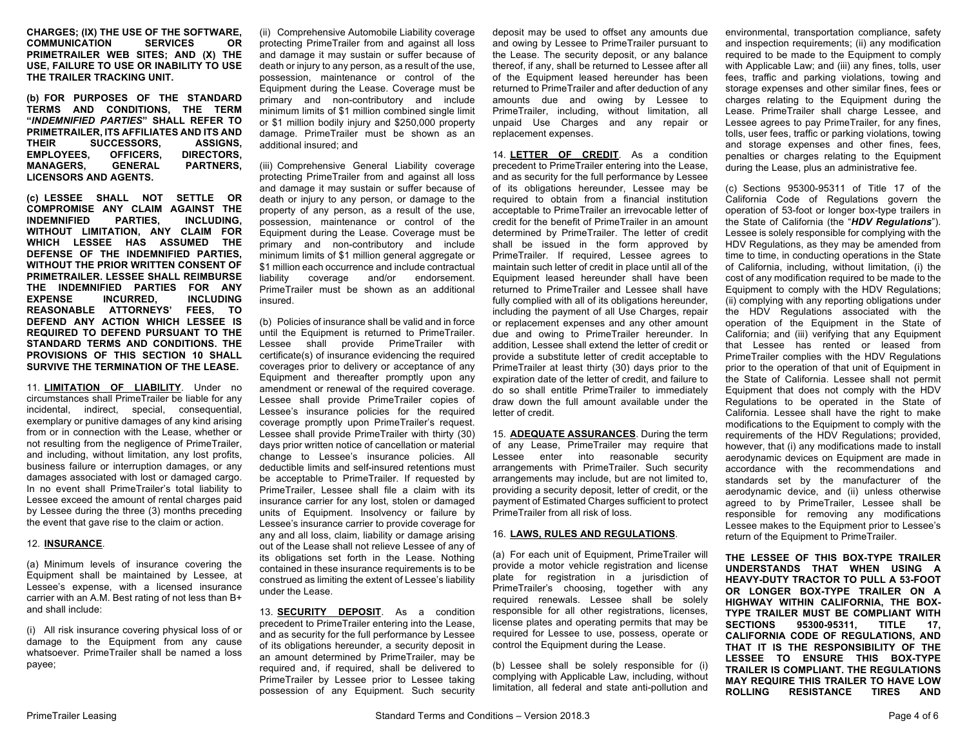**CHARGES; (IX) THE USE OF THE SOFTWARE, COMMUNICATION PRIMETRAILER WEB SITES; AND (X) THE USE, FAILURE TO USE OR INABILITY TO USE THE TRAILER TRACKING UNIT.**

**(b) FOR PURPOSES OF THE STANDARD TERMS AND CONDITIONS, THE TERM "***INDEMNIFIED PARTIES***" SHALL REFER TO PRIMETRAILER, ITS AFFILIATES AND ITS AND THEIR SUCCESSORS, ASSIGNS, EMPLOYEES, OFFICERS, MANAGERS, GENERAL PARTNERS, LICENSORS AND AGENTS.**

**(c) LESSEE SHALL NOT SETTLE OR COMPROMISE ANY CLAIM AGAINST THE INDEMNIFIED WITHOUT LIMITATION, ANY CLAIM FOR WHICH LESSEE HAS ASSUMED THE DEFENSE OF THE INDEMNIFIED PARTIES, WITHOUT THE PRIOR WRITTEN CONSENT OF PRIMETRAILER. LESSEE SHALL REIMBURSE THE INDEMNIFIED PARTIES FOR ANY EXPENSE INCURRED, INCLUDING REASONABLE ATTORNEYS' FEES, TO DEFEND ANY ACTION WHICH LESSEE IS REQUIRED TO DEFEND PURSUANT TO THE STANDARD TERMS AND CONDITIONS. THE PROVISIONS OF THIS SECTION 10 SHALL SURVIVE THE TERMINATION OF THE LEASE.**

11. **LIMITATION OF LIABILITY**. Under no circumstances shall PrimeTrailer be liable for any incidental, indirect, special, consequential, exemplary or punitive damages of any kind arising from or in connection with the Lease, whether or not resulting from the negligence of PrimeTrailer, and including, without limitation, any lost profits, business failure or interruption damages, or any damages associated with lost or damaged cargo. In no event shall PrimeTrailer's total liability to Lessee exceed the amount of rental charges paid by Lessee during the three (3) months preceding the event that gave rise to the claim or action.

### 12. **INSURANCE**.

(a) Minimum levels of insurance covering the Equipment shall be maintained by Lessee, at Lessee's expense, with a licensed insurance carrier with an A.M. Best rating of not less than B+ and shall include:

(i) All risk insurance covering physical loss of or damage to the Equipment from any cause whatsoever. PrimeTrailer shall be named a loss payee;

(ii) Comprehensive Automobile Liability coverage protecting PrimeTrailer from and against all loss and damage it may sustain or suffer because of death or injury to any person, as a result of the use, possession, maintenance or control of the Equipment during the Lease. Coverage must be primary and non-contributory and include minimum limits of \$1 million combined single limit or \$1 million bodily injury and \$250,000 property damage. PrimeTrailer must be shown as an additional insured; and

(iii) Comprehensive General Liability coverage protecting PrimeTrailer from and against all loss and damage it may sustain or suffer because of death or injury to any person, or damage to the property of any person, as a result of the use, possession, maintenance or control of the Equipment during the Lease. Coverage must be primary and non-contributory and include minimum limits of \$1 million general aggregate or \$1 million each occurrence and include contractual liability coverage and/or endorsement. PrimeTrailer must be shown as an additional insured.

(b) Policies of insurance shall be valid and in force until the Equipment is returned to PrimeTrailer. Lessee shall provide PrimeTrailer with certificate(s) of insurance evidencing the required coverages prior to delivery or acceptance of any Equipment and thereafter promptly upon any amendment or renewal of the required coverage. Lessee shall provide PrimeTrailer copies of Lessee's insurance policies for the required coverage promptly upon PrimeTrailer's request. Lessee shall provide PrimeTrailer with thirty (30) days prior written notice of cancellation or material change to Lessee's insurance policies. All deductible limits and self-insured retentions must be acceptable to PrimeTrailer. If requested by PrimeTrailer, Lessee shall file a claim with its insurance carrier for any lost, stolen or damaged units of Equipment. Insolvency or failure by Lessee's insurance carrier to provide coverage for any and all loss, claim, liability or damage arising out of the Lease shall not relieve Lessee of any of its obligations set forth in the Lease. Nothing contained in these insurance requirements is to be construed as limiting the extent of Lessee's liability under the Lease.

13. **SECURITY DEPOSIT**. As a condition precedent to PrimeTrailer entering into the Lease, and as security for the full performance by Lessee of its obligations hereunder, a security deposit in an amount determined by PrimeTrailer, may be required and, if required, shall be delivered to PrimeTrailer by Lessee prior to Lessee taking possession of any Equipment. Such security deposit may be used to offset any amounts due and owing by Lessee to PrimeTrailer pursuant to the Lease. The security deposit, or any balance thereof, if any, shall be returned to Lessee after all of the Equipment leased hereunder has been returned to PrimeTrailer and after deduction of any amounts due and owing by Lessee to PrimeTrailer, including, without limitation, all unpaid Use Charges and any repair or replacement expenses.

14. **LETTER OF CREDIT**. As a condition precedent to PrimeTrailer entering into the Lease, and as security for the full performance by Lessee of its obligations hereunder, Lessee may be required to obtain from a financial institution acceptable to PrimeTrailer an irrevocable letter of credit for the benefit of PrimeTrailer in an amount determined by PrimeTrailer. The letter of credit shall be issued in the form approved by PrimeTrailer. If required, Lessee agrees to maintain such letter of credit in place until all of the Equipment leased hereunder shall have been returned to PrimeTrailer and Lessee shall have fully complied with all of its obligations hereunder, including the payment of all Use Charges, repair or replacement expenses and any other amount due and owing to PrimeTrailer hereunder. In addition, Lessee shall extend the letter of credit or provide a substitute letter of credit acceptable to PrimeTrailer at least thirty (30) days prior to the expiration date of the letter of credit, and failure to do so shall entitle PrimeTrailer to immediately draw down the full amount available under the letter of credit.

15. **ADEQUATE ASSURANCES**. During the term of any Lease, PrimeTrailer may require that Lessee enter into reasonable security arrangements with PrimeTrailer. Such security arrangements may include, but are not limited to, providing a security deposit, letter of credit, or the payment of Estimated Charges sufficient to protect PrimeTrailer from all risk of loss.

### 16. **LAWS, RULES AND REGULATIONS**.

(a) For each unit of Equipment, PrimeTrailer will provide a motor vehicle registration and license plate for registration in a jurisdiction of PrimeTrailer's choosing, together with any required renewals. Lessee shall be solely responsible for all other registrations, licenses, license plates and operating permits that may be required for Lessee to use, possess, operate or control the Equipment during the Lease.

(b) Lessee shall be solely responsible for (i) complying with Applicable Law, including, without limitation, all federal and state anti-pollution and

environmental, transportation compliance, safety and inspection requirements; (ii) any modification required to be made to the Equipment to comply with Applicable Law; and (iii) any fines, tolls, user fees, traffic and parking violations, towing and storage expenses and other similar fines, fees or charges relating to the Equipment during the Lease. PrimeTrailer shall charge Lessee, and Lessee agrees to pay PrimeTrailer, for any fines, tolls, user fees, traffic or parking violations, towing and storage expenses and other fines, fees, penalties or charges relating to the Equipment during the Lease, plus an administrative fee.

(c) Sections 95300-95311 of Title 17 of the California Code of Regulations govern the operation of 53-foot or longer box-type trailers in the State of California (the "*HDV Regulations*"). Lessee is solely responsible for complying with the HDV Regulations, as they may be amended from time to time, in conducting operations in the State of California, including, without limitation, (i) the cost of any modification required to be made to the Equipment to comply with the HDV Regulations; (ii) complying with any reporting obligations under the HDV Regulations associated with the operation of the Equipment in the State of California; and (iii) verifying that any Equipment that Lessee has rented or leased from PrimeTrailer complies with the HDV Regulations prior to the operation of that unit of Equipment in the State of California. Lessee shall not permit Equipment that does not comply with the HDV Regulations to be operated in the State of California. Lessee shall have the right to make modifications to the Equipment to comply with the requirements of the HDV Regulations; provided, however, that (i) any modifications made to install aerodynamic devices on Equipment are made in accordance with the recommendations and standards set by the manufacturer of the aerodynamic device, and (ii) unless otherwise agreed to by PrimeTrailer, Lessee shall be responsible for removing any modifications Lessee makes to the Equipment prior to Lessee's return of the Equipment to PrimeTrailer.

**THE LESSEE OF THIS BOX-TYPE TRAILER UNDERSTANDS THAT WHEN USING A HEAVY-DUTY TRACTOR TO PULL A 53-FOOT OR LONGER BOX-TYPE TRAILER ON A HIGHWAY WITHIN CALIFORNIA, THE BOX-TYPE TRAILER MUST BE COMPLIANT WITH SECTIONS 95300-95311, TITLE 17, CALIFORNIA CODE OF REGULATIONS, AND THAT IT IS THE RESPONSIBILITY OF THE LESSEE TO ENSURE THIS BOX-TYPE TRAILER IS COMPLIANT. THE REGULATIONS MAY REQUIRE THIS TRAILER TO HAVE LOW RESISTANCE TIRES AND**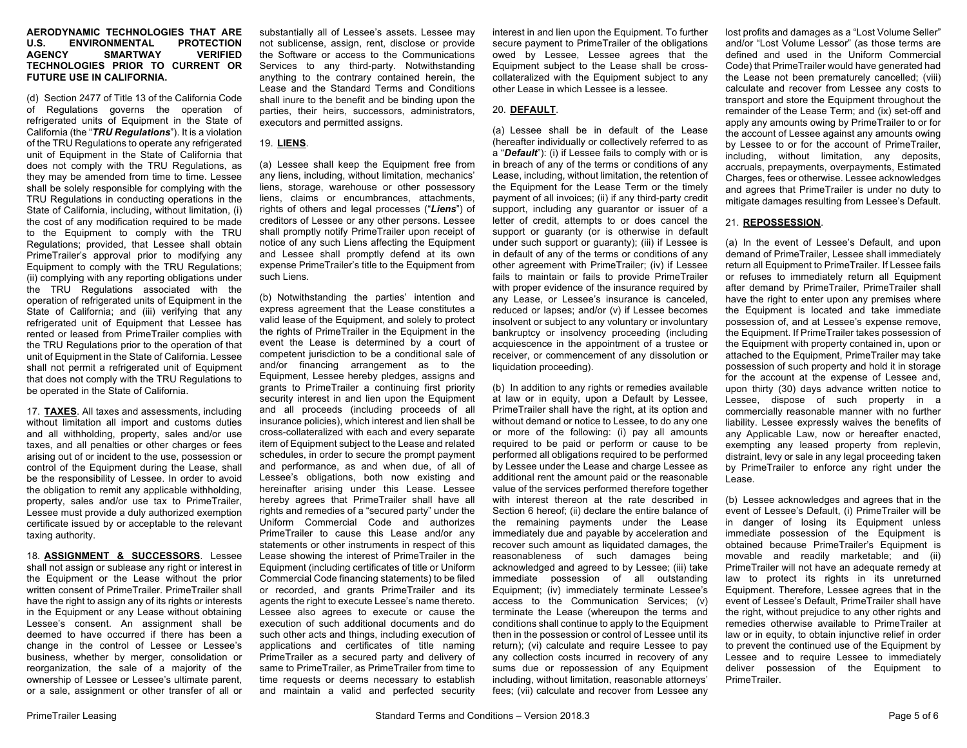#### **AERODYNAMIC TECHNOLOGIES THAT ARE ENVIRONMENTAL AGENCY SMARTWAY VERIFIED TECHNOLOGIES PRIOR TO CURRENT OR FUTURE USE IN CALIFORNIA.**

(d) Section 2477 of Title 13 of the California Code of Regulations governs the operation of refrigerated units of Equipment in the State of California (the "*TRU Regulations*"). It is a violation of the TRU Regulations to operate any refrigerated unit of Equipment in the State of California that does not comply with the TRU Regulations, as they may be amended from time to time. Lessee shall be solely responsible for complying with the TRU Regulations in conducting operations in the State of California, including, without limitation, (i) the cost of any modification required to be made to the Equipment to comply with the TRU Regulations; provided, that Lessee shall obtain PrimeTrailer's approval prior to modifying any Equipment to comply with the TRU Regulations; (ii) complying with any reporting obligations under the TRU Regulations associated with the operation of refrigerated units of Equipment in the State of California; and (iii) verifying that any refrigerated unit of Equipment that Lessee has rented or leased from PrimeTrailer complies with the TRU Regulations prior to the operation of that unit of Equipment in the State of California. Lessee shall not permit a refrigerated unit of Equipment that does not comply with the TRU Regulations to be operated in the State of California.

17. **TAXES**. All taxes and assessments, including without limitation all import and customs duties and all withholding, property, sales and/or use taxes, and all penalties or other charges or fees arising out of or incident to the use, possession or control of the Equipment during the Lease, shall be the responsibility of Lessee. In order to avoid the obligation to remit any applicable withholding, property, sales and/or use tax to PrimeTrailer, Lessee must provide a duly authorized exemption certificate issued by or acceptable to the relevant taxing authority.

18. **ASSIGNMENT & SUCCESSORS**. Lessee shall not assign or sublease any right or interest in the Equipment or the Lease without the prior written consent of PrimeTrailer. PrimeTrailer shall have the right to assign any of its rights or interests in the Equipment or any Lease without obtaining Lessee's consent. An assignment shall be deemed to have occurred if there has been a change in the control of Lessee or Lessee's business, whether by merger, consolidation or reorganization, the sale of a majority of the ownership of Lessee or Lessee's ultimate parent, or a sale, assignment or other transfer of all or

substantially all of Lessee's assets. Lessee may not sublicense, assign, rent, disclose or provide the Software or access to the Communications Services to any third-party. Notwithstanding anything to the contrary contained herein, the Lease and the Standard Terms and Conditions shall inure to the benefit and be binding upon the parties, their heirs, successors, administrators, executors and permitted assigns.

# 19. **LIENS**.

(a) Lessee shall keep the Equipment free from any liens, including, without limitation, mechanics' liens, storage, warehouse or other possessory liens, claims or encumbrances, attachments, rights of others and legal processes ("*Liens*") of creditors of Lessee or any other persons. Lessee shall promptly notify PrimeTrailer upon receipt of notice of any such Liens affecting the Equipment and Lessee shall promptly defend at its own expense PrimeTrailer's title to the Equipment from such Liens.

(b) Notwithstanding the parties' intention and express agreement that the Lease constitutes a valid lease of the Equipment, and solely to protect the rights of PrimeTrailer in the Equipment in the event the Lease is determined by a court of competent jurisdiction to be a conditional sale of and/or financing arrangement as to the Equipment, Lessee hereby pledges, assigns and grants to PrimeTrailer a continuing first priority security interest in and lien upon the Equipment and all proceeds (including proceeds of all insurance policies), which interest and lien shall be cross-collateralized with each and every separate item of Equipment subject to the Lease and related schedules, in order to secure the prompt payment and performance, as and when due, of all of Lessee's obligations, both now existing and hereinafter arising under this Lease. Lessee hereby agrees that PrimeTrailer shall have all rights and remedies of a "secured party" under the Uniform Commercial Code and authorizes PrimeTrailer to cause this Lease and/or any statements or other instruments in respect of this Lease showing the interest of PrimeTrailer in the Equipment (including certificates of title or Uniform Commercial Code financing statements) to be filed or recorded, and grants PrimeTrailer and its agents the right to execute Lessee's name thereto. Lessee also agrees to execute or cause the execution of such additional documents and do such other acts and things, including execution of applications and certificates of title naming PrimeTrailer as a secured party and delivery of same to PrimeTrailer, as PrimeTrailer from time to time requests or deems necessary to establish and maintain a valid and perfected security interest in and lien upon the Equipment. To further secure payment to PrimeTrailer of the obligations owed by Lessee, Lessee agrees that the Equipment subject to the Lease shall be crosscollateralized with the Equipment subject to any other Lease in which Lessee is a lessee.

# 20. **DEFAULT**.

(a) Lessee shall be in default of the Lease (hereafter individually or collectively referred to as a "*Default*"): (i) if Lessee fails to comply with or is in breach of any of the terms or conditions of any Lease, including, without limitation, the retention of the Equipment for the Lease Term or the timely payment of all invoices; (ii) if any third-party credit support, including any guarantor or issuer of a letter of credit, attempts to or does cancel the support or guaranty (or is otherwise in default under such support or guaranty); (iii) if Lessee is in default of any of the terms or conditions of any other agreement with PrimeTrailer; (iv) if Lessee fails to maintain or fails to provide PrimeTrailer with proper evidence of the insurance required by any Lease, or Lessee's insurance is canceled, reduced or lapses; and/or (v) if Lessee becomes insolvent or subject to any voluntary or involuntary bankruptcy or insolvency proceeding (including acquiescence in the appointment of a trustee or receiver, or commencement of any dissolution or liquidation proceeding).

(b) In addition to any rights or remedies available at law or in equity, upon a Default by Lessee, PrimeTrailer shall have the right, at its option and without demand or notice to Lessee, to do any one or more of the following: (i) pay all amounts required to be paid or perform or cause to be performed all obligations required to be performed by Lessee under the Lease and charge Lessee as additional rent the amount paid or the reasonable value of the services performed therefore together with interest thereon at the rate described in Section 6 hereof; (ii) declare the entire balance of the remaining payments under the Lease immediately due and payable by acceleration and recover such amount as liquidated damages, the reasonableness of such damages being acknowledged and agreed to by Lessee; (iii) take immediate possession of all outstanding Equipment; (iv) immediately terminate Lessee's access to the Communication Services; (v) terminate the Lease (whereupon the terms and conditions shall continue to apply to the Equipment then in the possession or control of Lessee until its return); (vi) calculate and require Lessee to pay any collection costs incurred in recovery of any sums due or repossession of any Equipment including, without limitation, reasonable attorneys' fees; (vii) calculate and recover from Lessee any

lost profits and damages as a "Lost Volume Seller" and/or "Lost Volume Lessor" (as those terms are defined and used in the Uniform Commercial Code) that PrimeTrailer would have generated had the Lease not been prematurely cancelled; (viii) calculate and recover from Lessee any costs to transport and store the Equipment throughout the remainder of the Lease Term; and (ix) set-off and apply any amounts owing by PrimeTrailer to or for the account of Lessee against any amounts owing by Lessee to or for the account of PrimeTrailer, including, without limitation, any deposits, accruals, prepayments, overpayments, Estimated Charges, fees or otherwise. Lessee acknowledges and agrees that PrimeTrailer is under no duty to mitigate damages resulting from Lessee's Default.

# 21. **REPOSSESSION**.

(a) In the event of Lessee's Default, and upon demand of PrimeTrailer, Lessee shall immediately return all Equipment to PrimeTrailer. If Lessee fails or refuses to immediately return all Equipment after demand by PrimeTrailer, PrimeTrailer shall have the right to enter upon any premises where the Equipment is located and take immediate possession of, and at Lessee's expense remove, the Equipment. If PrimeTrailer takes possession of the Equipment with property contained in, upon or attached to the Equipment, PrimeTrailer may take possession of such property and hold it in storage for the account at the expense of Lessee and, upon thirty (30) days advance written notice to Lessee, dispose of such property in a commercially reasonable manner with no further liability. Lessee expressly waives the benefits of any Applicable Law, now or hereafter enacted, exempting any leased property from replevin, distraint, levy or sale in any legal proceeding taken by PrimeTrailer to enforce any right under the Lease.

(b) Lessee acknowledges and agrees that in the event of Lessee's Default, (i) PrimeTrailer will be in danger of losing its Equipment unless immediate possession of the Equipment is obtained because PrimeTrailer's Equipment is movable and readily marketable; and (ii) PrimeTrailer will not have an adequate remedy at law to protect its rights in its unreturned Equipment. Therefore, Lessee agrees that in the event of Lessee's Default, PrimeTrailer shall have the right, without prejudice to any other rights and remedies otherwise available to PrimeTrailer at law or in equity, to obtain injunctive relief in order to prevent the continued use of the Equipment by Lessee and to require Lessee to immediately deliver possession of the Equipment to PrimeTrailer.